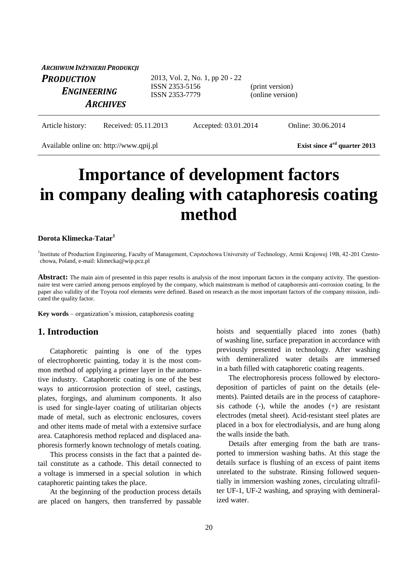| ARCHIWUM INŻYNIERII PRODUKCJI |                                  |                                     |  |
|-------------------------------|----------------------------------|-------------------------------------|--|
| <b>PRODUCTION</b>             | 2013, Vol. 2, No. 1, pp 20 - 22  |                                     |  |
| <b>ENGINEERING</b>            | ISSN 2353-5156<br>ISSN 2353-7779 | (print version)<br>(online version) |  |
| <b>ARCHIVES</b>               |                                  |                                     |  |
|                               |                                  |                                     |  |

Article history: Received: 05.11.2013 Accepted: 03.01.2014 Online: 30.06.2014

Available online on: http://www.qpij.pl Exist since 4<sup>rd</sup> quarter 2013

**Importance of development factors in company dealing with cataphoresis coating method**

#### **Dorota Klimecka-Tatar<sup>1</sup>**

<sup>1</sup>Institute of Production Engineering, Faculty of Management, Częstochowa University of Technology, Armii Krajowej 19B, 42-201 Czestochowa, Poland, e-mail: klimecka@wip.pcz.pl

**Abstract:** The main aim of presented in this paper results is analysis of the most important factors in the company activity. The questionnaire test were carried among persons employed by the company, which mainstream is method of cataphoresis anti-corrosion coating. In the paper also validity of the Toyota roof elements were defined. Based on research as the most important factors of the company mission, indicated the quality factor.

**Key words** – organization's mission, cataphoresis coating

### **1. Introduction**

Cataphoretic painting is one of the types of electrophoretic painting, today it is the most common method of applying a primer layer in the automotive industry. Cataphoretic coating is one of the best ways to anticorrosion protection of steel, castings, plates, forgings, and aluminum components. It also is used for single-layer coating of utilitarian objects made of metal, such as electronic enclosures, covers and other items made of metal with a extensive surface area. Cataphoresis method replaced and displaced anaphoresis formerly known technology of metals coating.

This process consists in the fact that a painted detail constitute as a cathode. This detail connected to a voltage is immersed in a special solution in which cataphoretic painting takes the place.

At the beginning of the production process details are placed on hangers, then transferred by passable hoists and sequentially placed into zones (bath) of washing line, surface preparation in accordance with previously presented in technology. After washing with demineralized water details are immersed in a bath filled with cataphoretic coating reagents.

The electrophoresis process followed by electorodeposition of particles of paint on the details (elements). Painted details are in the process of cataphoresis cathode  $(-)$ , while the anodes  $(+)$  are resistant electrodes (metal sheet). Acid-resistant steel plates are placed in a box for electrodialysis, and are hung along the walls inside the bath.

Details after emerging from the bath are transported to immersion washing baths. At this stage the details surface is flushing of an excess of paint items unrelated to the substrate. Rinsing followed sequentially in immersion washing zones, circulating ultrafilter UF-1, UF-2 washing, and spraying with demineralized water.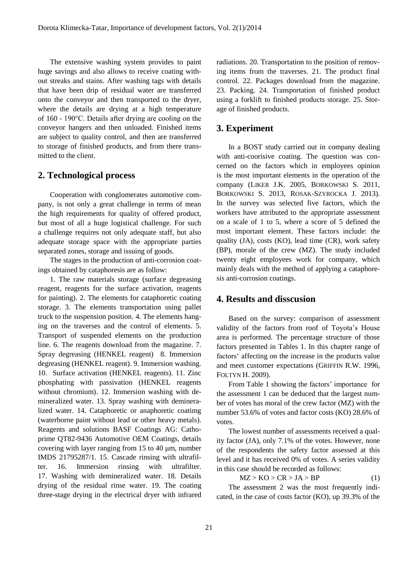The extensive washing system provides to paint huge savings and also allows to receive coating without streaks and stains. After washing tags with details that have been drip of residual water are transferred onto the conveyor and then transported to the dryer, where the details are drying at a high temperature of 160 - 190°C. Details after drying are cooling on the conveyor hangers and then unloaded. Finished items are subject to quality control, and then are transferred to storage of finished products, and from there transmitted to the client.

## **2. Technological process**

Cooperation with conglomerates automotive company, is not only a great challenge in terms of mean the high requirements for quality of offered product, but most of all a huge logistical challenge. For such a challenge requires not only adequate staff, but also adequate storage space with the appropriate parties separated zones, storage and issuing of goods.

The stages in the production of anti-corrosion coatings obtained by cataphoresis are as follow:

1. The raw materials storage (surface degreasing reagent, reagents for the surface activation, reagents for painting). 2. The elements for cataphoretic coating storage. 3. The elements transportation using pallet truck to the suspension position. 4. The elements hanging on the traverses and the control of elements. 5. Transport of suspended elements on the production line. 6. The reagents download from the magazine. 7. Spray degreasing (HENKEL reagent) 8. Immersion degreasing (HENKEL reagent). 9. Immersion washing. 10. Surface activation (HENKEL reagents). 11. Zinc phosphating with passivation (HENKEL reagents without chromium). 12. Immersion washing with demineralized water. 13. Spray washing with demineralized water. 14. Cataphoretic or anaphoretic coatimg (waterborne paint without lead or other heavy metals). Reagents and solutions BASF Coatings AG: Cathoprime QT82-9436 Automotive OEM Coatings, details covering with layer ranging from 15 to 40 μm, number IMDS 21795287/1. 15. Cascade rinsing with ultrafilter. 16. Immersion rinsing with ultrafilter. 17. Washing with demineralized water. 18. Details drying of the residual rinse water. 19. The coating three-stage drying in the electrical dryer with infrared radiations. 20. Transportation to the position of removing items from the traverses. 21. The product final control. 22. Packages download from the magazine. 23. Packing. 24. Transportation of finished product using a forklift to finished products storage. 25. Storage of finished products.

# **3. Experiment**

In a BOST study carried out in company dealing with anti-coorisive coating. The question was concerned on the factors which in employees opinion is the most important elements in the operation of the company (LIKER J.K. 2005, BORKOWSKI S. 2011, BORKOWSKI S. 2013, ROSAK-SZYROCKA J. 2013). In the survey was selected five factors, which the workers have attributed to the appropriate assessment on a scale of 1 to 5, where a score of 5 defined the most important element. These factors include: the quality (JA), costs (KO), lead time (CR), work safety (BP), morale of the crew (MZ). The study included twenty eight employees work for company, which mainly deals with the method of applying a cataphoresis anti-corrosion coatings.

## **4. Results and disscusion**

Based on the survey: comparison of assessment validity of the factors from roof of Toyota's House area is performed. The percentage structure of those factors presented in Tables 1. In this chapter range of factors' affecting on the increase in the products value and meet customer expectations (GRIFFIN R.W. 1996, FOLTYN H. 2009).

From Table 1 showing the factors' importance for the assessment 1 can be deduced that the largest number of votes has moral of the crew factor (MZ) with the number 53.6% of votes and factor costs (KO) 28.6% of votes.

The lowest number of assessments received a quality factor (JA), only 7.1% of the votes. However, none of the respondents the safety factor assessed at this level and it has received 0% of votes. A series validity in this case should be recorded as follows:

 $MZ > KO > CR > JA > BP$  (1)

The assessment 2 was the most frequently indicated, in the case of costs factor (KO), up 39.3% of the